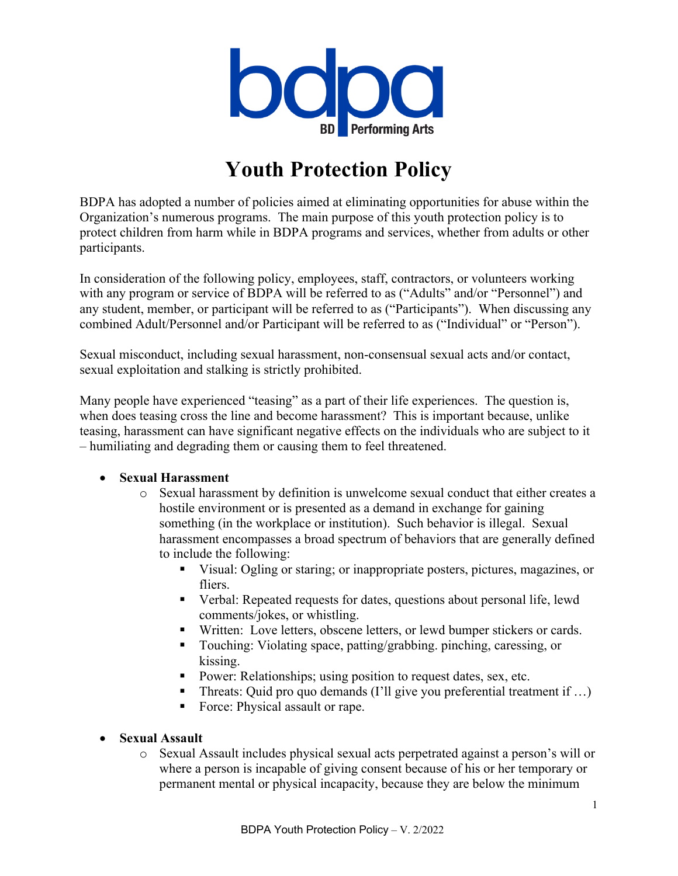

# **Youth Protection Policy**

BDPA has adopted a number of policies aimed at eliminating opportunities for abuse within the Organization's numerous programs. The main purpose of this youth protection policy is to protect children from harm while in BDPA programs and services, whether from adults or other participants.

In consideration of the following policy, employees, staff, contractors, or volunteers working with any program or service of BDPA will be referred to as ("Adults" and/or "Personnel") and any student, member, or participant will be referred to as ("Participants"). When discussing any combined Adult/Personnel and/or Participant will be referred to as ("Individual" or "Person").

Sexual misconduct, including sexual harassment, non-consensual sexual acts and/or contact, sexual exploitation and stalking is strictly prohibited.

Many people have experienced "teasing" as a part of their life experiences. The question is, when does teasing cross the line and become harassment? This is important because, unlike teasing, harassment can have significant negative effects on the individuals who are subject to it – humiliating and degrading them or causing them to feel threatened.

#### • **Sexual Harassment**

- o Sexual harassment by definition is unwelcome sexual conduct that either creates a hostile environment or is presented as a demand in exchange for gaining something (in the workplace or institution). Such behavior is illegal. Sexual harassment encompasses a broad spectrum of behaviors that are generally defined to include the following:
	- § Visual: Ogling or staring; or inappropriate posters, pictures, magazines, or fliers.
	- Verbal: Repeated requests for dates, questions about personal life, lewd comments/jokes, or whistling.
	- Written: Love letters, obscene letters, or lewd bumper stickers or cards.
	- Touching: Violating space, patting/grabbing. pinching, caressing, or kissing.
	- Power: Relationships; using position to request dates, sex, etc.
	- Threats: Quid pro quo demands (I'll give you preferential treatment if ...)
	- Force: Physical assault or rape.

#### • **Sexual Assault**

o Sexual Assault includes physical sexual acts perpetrated against a person's will or where a person is incapable of giving consent because of his or her temporary or permanent mental or physical incapacity, because they are below the minimum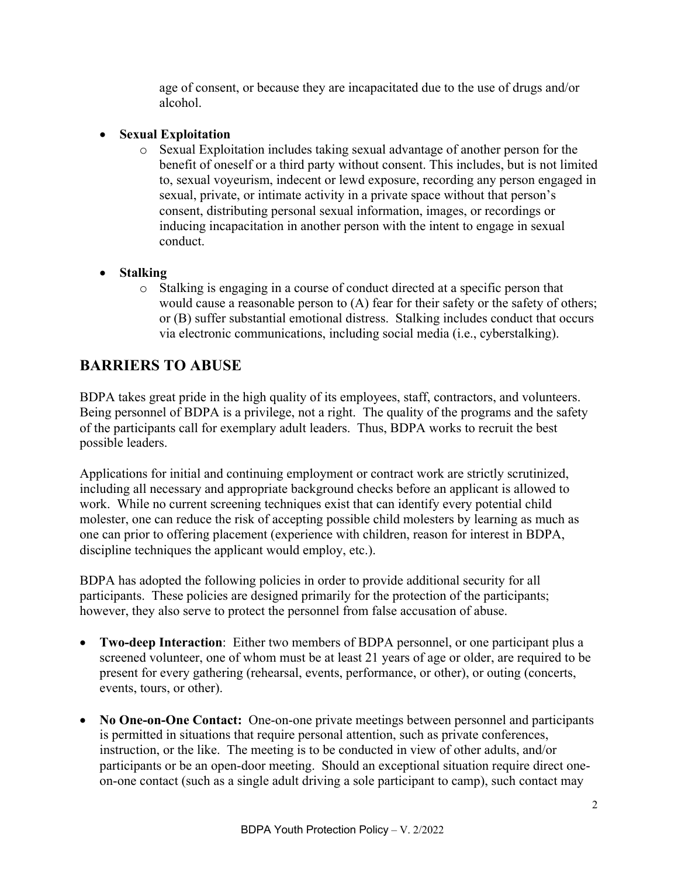age of consent, or because they are incapacitated due to the use of drugs and/or alcohol.

#### • **Sexual Exploitation**

o Sexual Exploitation includes taking sexual advantage of another person for the benefit of oneself or a third party without consent. This includes, but is not limited to, sexual voyeurism, indecent or lewd exposure, recording any person engaged in sexual, private, or intimate activity in a private space without that person's consent, distributing personal sexual information, images, or recordings or inducing incapacitation in another person with the intent to engage in sexual conduct.

#### • **Stalking**

o Stalking is engaging in a course of conduct directed at a specific person that would cause a reasonable person to (A) fear for their safety or the safety of others; or (B) suffer substantial emotional distress. Stalking includes conduct that occurs via electronic communications, including social media (i.e., cyberstalking).

## **BARRIERS TO ABUSE**

BDPA takes great pride in the high quality of its employees, staff, contractors, and volunteers. Being personnel of BDPA is a privilege, not a right. The quality of the programs and the safety of the participants call for exemplary adult leaders. Thus, BDPA works to recruit the best possible leaders.

Applications for initial and continuing employment or contract work are strictly scrutinized, including all necessary and appropriate background checks before an applicant is allowed to work. While no current screening techniques exist that can identify every potential child molester, one can reduce the risk of accepting possible child molesters by learning as much as one can prior to offering placement (experience with children, reason for interest in BDPA, discipline techniques the applicant would employ, etc.).

BDPA has adopted the following policies in order to provide additional security for all participants. These policies are designed primarily for the protection of the participants; however, they also serve to protect the personnel from false accusation of abuse.

- **Two-deep Interaction**: Either two members of BDPA personnel, or one participant plus a screened volunteer, one of whom must be at least 21 years of age or older, are required to be present for every gathering (rehearsal, events, performance, or other), or outing (concerts, events, tours, or other).
- **No One-on-One Contact:** One-on-one private meetings between personnel and participants is permitted in situations that require personal attention, such as private conferences, instruction, or the like. The meeting is to be conducted in view of other adults, and/or participants or be an open-door meeting. Should an exceptional situation require direct oneon-one contact (such as a single adult driving a sole participant to camp), such contact may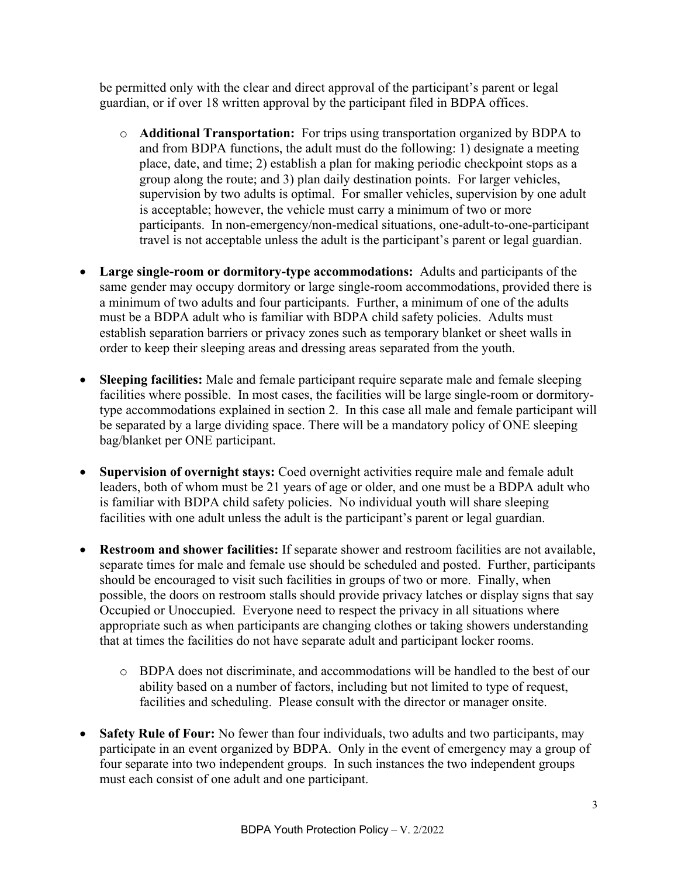be permitted only with the clear and direct approval of the participant's parent or legal guardian, or if over 18 written approval by the participant filed in BDPA offices.

- o **Additional Transportation:** For trips using transportation organized by BDPA to and from BDPA functions, the adult must do the following: 1) designate a meeting place, date, and time; 2) establish a plan for making periodic checkpoint stops as a group along the route; and 3) plan daily destination points. For larger vehicles, supervision by two adults is optimal. For smaller vehicles, supervision by one adult is acceptable; however, the vehicle must carry a minimum of two or more participants. In non-emergency/non-medical situations, one-adult-to-one-participant travel is not acceptable unless the adult is the participant's parent or legal guardian.
- **Large single-room or dormitory-type accommodations:** Adults and participants of the same gender may occupy dormitory or large single-room accommodations, provided there is a minimum of two adults and four participants. Further, a minimum of one of the adults must be a BDPA adult who is familiar with BDPA child safety policies. Adults must establish separation barriers or privacy zones such as temporary blanket or sheet walls in order to keep their sleeping areas and dressing areas separated from the youth.
- **Sleeping facilities:** Male and female participant require separate male and female sleeping facilities where possible. In most cases, the facilities will be large single-room or dormitorytype accommodations explained in section 2. In this case all male and female participant will be separated by a large dividing space. There will be a mandatory policy of ONE sleeping bag/blanket per ONE participant.
- **Supervision of overnight stays:** Coed overnight activities require male and female adult leaders, both of whom must be 21 years of age or older, and one must be a BDPA adult who is familiar with BDPA child safety policies. No individual youth will share sleeping facilities with one adult unless the adult is the participant's parent or legal guardian.
- **Restroom and shower facilities:** If separate shower and restroom facilities are not available, separate times for male and female use should be scheduled and posted. Further, participants should be encouraged to visit such facilities in groups of two or more. Finally, when possible, the doors on restroom stalls should provide privacy latches or display signs that say Occupied or Unoccupied. Everyone need to respect the privacy in all situations where appropriate such as when participants are changing clothes or taking showers understanding that at times the facilities do not have separate adult and participant locker rooms.
	- o BDPA does not discriminate, and accommodations will be handled to the best of our ability based on a number of factors, including but not limited to type of request, facilities and scheduling. Please consult with the director or manager onsite.
- **Safety Rule of Four:** No fewer than four individuals, two adults and two participants, may participate in an event organized by BDPA. Only in the event of emergency may a group of four separate into two independent groups. In such instances the two independent groups must each consist of one adult and one participant.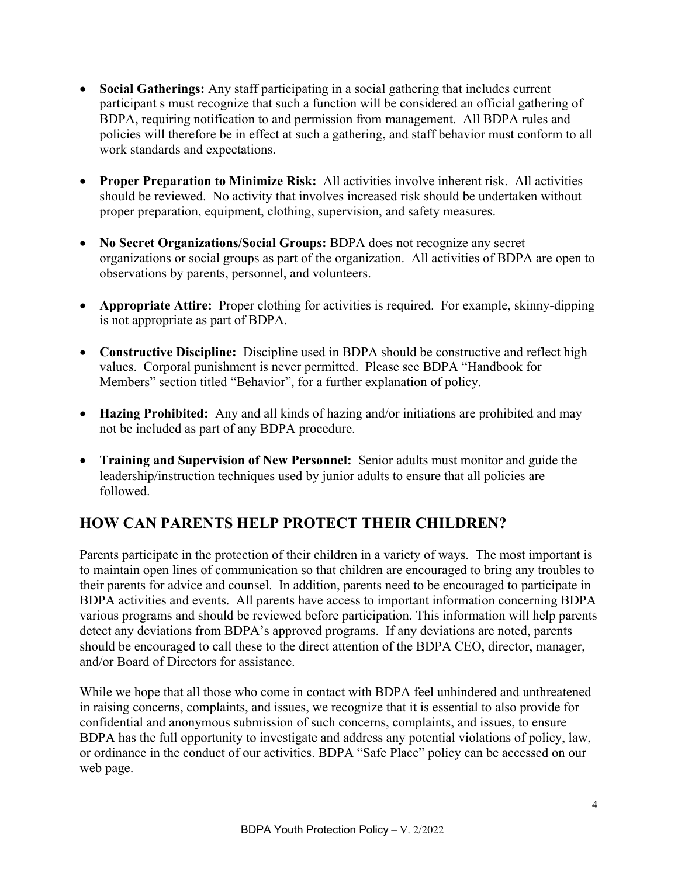- **Social Gatherings:** Any staff participating in a social gathering that includes current participant s must recognize that such a function will be considered an official gathering of BDPA, requiring notification to and permission from management. All BDPA rules and policies will therefore be in effect at such a gathering, and staff behavior must conform to all work standards and expectations.
- **Proper Preparation to Minimize Risk:** All activities involve inherent risk. All activities should be reviewed. No activity that involves increased risk should be undertaken without proper preparation, equipment, clothing, supervision, and safety measures.
- **No Secret Organizations/Social Groups:** BDPA does not recognize any secret organizations or social groups as part of the organization. All activities of BDPA are open to observations by parents, personnel, and volunteers.
- **Appropriate Attire:** Proper clothing for activities is required. For example, skinny-dipping is not appropriate as part of BDPA.
- **Constructive Discipline:** Discipline used in BDPA should be constructive and reflect high values. Corporal punishment is never permitted. Please see BDPA "Handbook for Members" section titled "Behavior", for a further explanation of policy.
- **Hazing Prohibited:** Any and all kinds of hazing and/or initiations are prohibited and may not be included as part of any BDPA procedure.
- **Training and Supervision of New Personnel:** Senior adults must monitor and guide the leadership/instruction techniques used by junior adults to ensure that all policies are followed.

# **HOW CAN PARENTS HELP PROTECT THEIR CHILDREN?**

Parents participate in the protection of their children in a variety of ways. The most important is to maintain open lines of communication so that children are encouraged to bring any troubles to their parents for advice and counsel. In addition, parents need to be encouraged to participate in BDPA activities and events. All parents have access to important information concerning BDPA various programs and should be reviewed before participation. This information will help parents detect any deviations from BDPA's approved programs. If any deviations are noted, parents should be encouraged to call these to the direct attention of the BDPA CEO, director, manager, and/or Board of Directors for assistance.

While we hope that all those who come in contact with BDPA feel unhindered and unthreatened in raising concerns, complaints, and issues, we recognize that it is essential to also provide for confidential and anonymous submission of such concerns, complaints, and issues, to ensure BDPA has the full opportunity to investigate and address any potential violations of policy, law, or ordinance in the conduct of our activities. BDPA "Safe Place" policy can be accessed on our web page.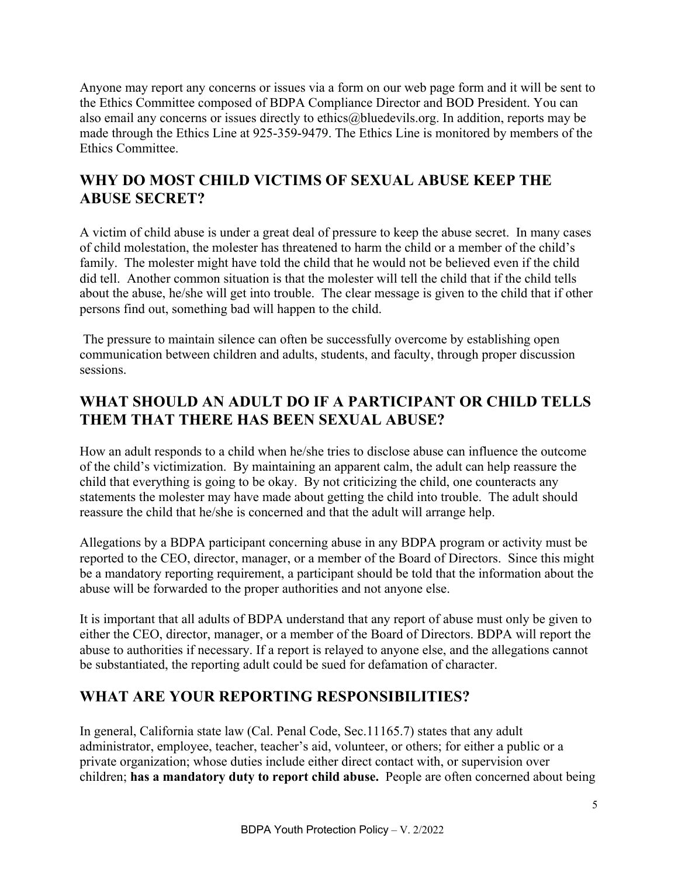Anyone may report any concerns or issues via a form on our web page form and it will be sent to the Ethics Committee composed of BDPA Compliance Director and BOD President. You can also email any concerns or issues directly to ethics@bluedevils.org. In addition, reports may be made through the Ethics Line at 925-359-9479. The Ethics Line is monitored by members of the Ethics Committee.

# **WHY DO MOST CHILD VICTIMS OF SEXUAL ABUSE KEEP THE ABUSE SECRET?**

A victim of child abuse is under a great deal of pressure to keep the abuse secret. In many cases of child molestation, the molester has threatened to harm the child or a member of the child's family. The molester might have told the child that he would not be believed even if the child did tell. Another common situation is that the molester will tell the child that if the child tells about the abuse, he/she will get into trouble. The clear message is given to the child that if other persons find out, something bad will happen to the child.

The pressure to maintain silence can often be successfully overcome by establishing open communication between children and adults, students, and faculty, through proper discussion sessions.

# **WHAT SHOULD AN ADULT DO IF A PARTICIPANT OR CHILD TELLS THEM THAT THERE HAS BEEN SEXUAL ABUSE?**

How an adult responds to a child when he/she tries to disclose abuse can influence the outcome of the child's victimization. By maintaining an apparent calm, the adult can help reassure the child that everything is going to be okay. By not criticizing the child, one counteracts any statements the molester may have made about getting the child into trouble. The adult should reassure the child that he/she is concerned and that the adult will arrange help.

Allegations by a BDPA participant concerning abuse in any BDPA program or activity must be reported to the CEO, director, manager, or a member of the Board of Directors. Since this might be a mandatory reporting requirement, a participant should be told that the information about the abuse will be forwarded to the proper authorities and not anyone else.

It is important that all adults of BDPA understand that any report of abuse must only be given to either the CEO, director, manager, or a member of the Board of Directors. BDPA will report the abuse to authorities if necessary. If a report is relayed to anyone else, and the allegations cannot be substantiated, the reporting adult could be sued for defamation of character.

## **WHAT ARE YOUR REPORTING RESPONSIBILITIES?**

In general, California state law (Cal. Penal Code, Sec.11165.7) states that any adult administrator, employee, teacher, teacher's aid, volunteer, or others; for either a public or a private organization; whose duties include either direct contact with, or supervision over children; **has a mandatory duty to report child abuse.** People are often concerned about being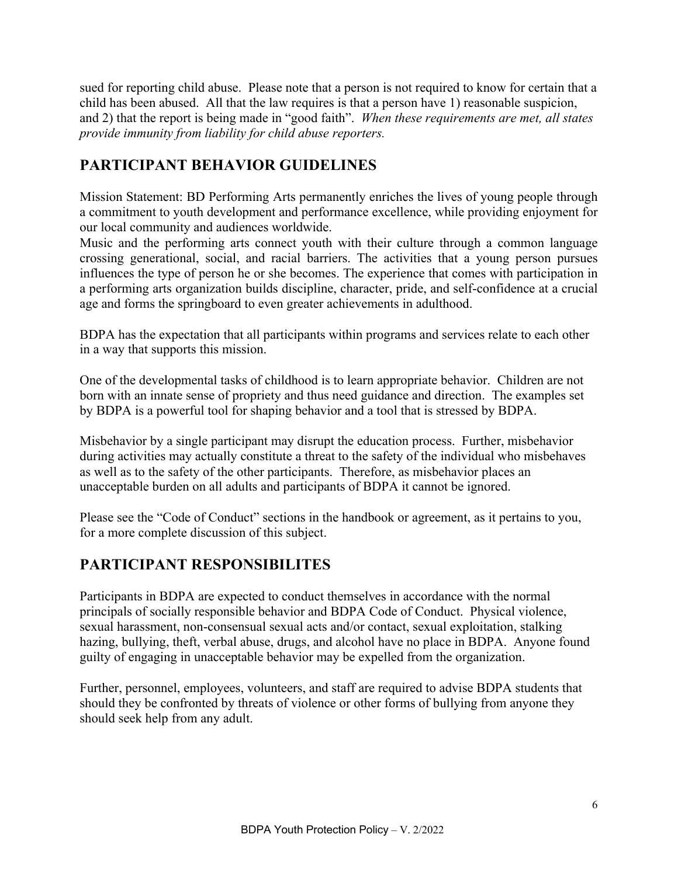sued for reporting child abuse. Please note that a person is not required to know for certain that a child has been abused. All that the law requires is that a person have 1) reasonable suspicion, and 2) that the report is being made in "good faith". *When these requirements are met, all states provide immunity from liability for child abuse reporters.*

# **PARTICIPANT BEHAVIOR GUIDELINES**

Mission Statement: BD Performing Arts permanently enriches the lives of young people through a commitment to youth development and performance excellence, while providing enjoyment for our local community and audiences worldwide.

Music and the performing arts connect youth with their culture through a common language crossing generational, social, and racial barriers. The activities that a young person pursues influences the type of person he or she becomes. The experience that comes with participation in a performing arts organization builds discipline, character, pride, and self-confidence at a crucial age and forms the springboard to even greater achievements in adulthood.

BDPA has the expectation that all participants within programs and services relate to each other in a way that supports this mission.

One of the developmental tasks of childhood is to learn appropriate behavior. Children are not born with an innate sense of propriety and thus need guidance and direction. The examples set by BDPA is a powerful tool for shaping behavior and a tool that is stressed by BDPA.

Misbehavior by a single participant may disrupt the education process. Further, misbehavior during activities may actually constitute a threat to the safety of the individual who misbehaves as well as to the safety of the other participants. Therefore, as misbehavior places an unacceptable burden on all adults and participants of BDPA it cannot be ignored.

Please see the "Code of Conduct" sections in the handbook or agreement, as it pertains to you, for a more complete discussion of this subject.

# **PARTICIPANT RESPONSIBILITES**

Participants in BDPA are expected to conduct themselves in accordance with the normal principals of socially responsible behavior and BDPA Code of Conduct. Physical violence, sexual harassment, non-consensual sexual acts and/or contact, sexual exploitation, stalking hazing, bullying, theft, verbal abuse, drugs, and alcohol have no place in BDPA. Anyone found guilty of engaging in unacceptable behavior may be expelled from the organization.

Further, personnel, employees, volunteers, and staff are required to advise BDPA students that should they be confronted by threats of violence or other forms of bullying from anyone they should seek help from any adult.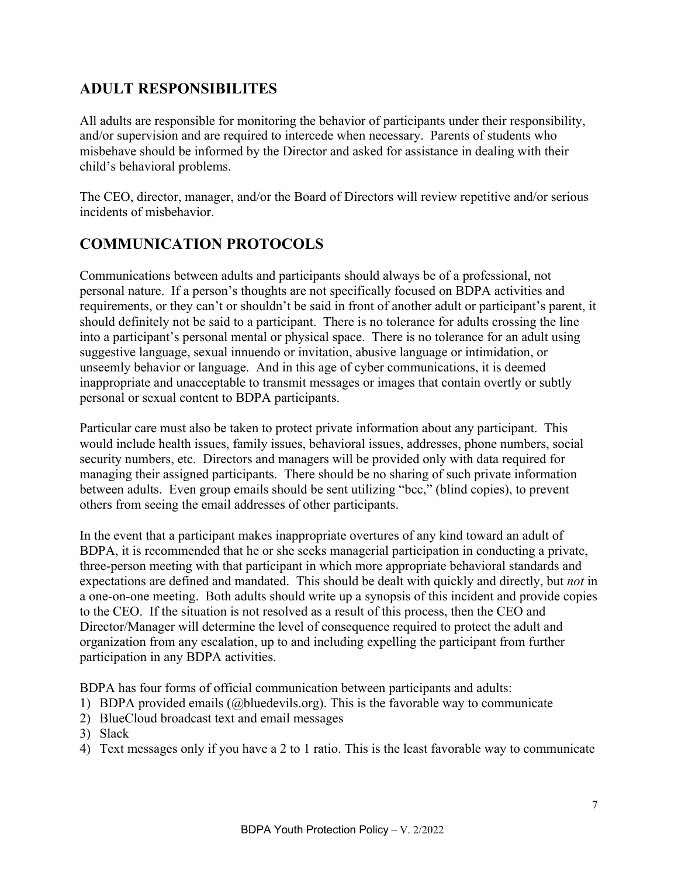## **ADULT RESPONSIBILITES**

All adults are responsible for monitoring the behavior of participants under their responsibility, and/or supervision and are required to intercede when necessary. Parents of students who misbehave should be informed by the Director and asked for assistance in dealing with their child's behavioral problems.

The CEO, director, manager, and/or the Board of Directors will review repetitive and/or serious incidents of misbehavior.

## **COMMUNICATION PROTOCOLS**

Communications between adults and participants should always be of a professional, not personal nature. If a person's thoughts are not specifically focused on BDPA activities and requirements, or they can't or shouldn't be said in front of another adult or participant's parent, it should definitely not be said to a participant. There is no tolerance for adults crossing the line into a participant's personal mental or physical space. There is no tolerance for an adult using suggestive language, sexual innuendo or invitation, abusive language or intimidation, or unseemly behavior or language. And in this age of cyber communications, it is deemed inappropriate and unacceptable to transmit messages or images that contain overtly or subtly personal or sexual content to BDPA participants.

Particular care must also be taken to protect private information about any participant. This would include health issues, family issues, behavioral issues, addresses, phone numbers, social security numbers, etc. Directors and managers will be provided only with data required for managing their assigned participants. There should be no sharing of such private information between adults. Even group emails should be sent utilizing "bcc," (blind copies), to prevent others from seeing the email addresses of other participants.

In the event that a participant makes inappropriate overtures of any kind toward an adult of BDPA, it is recommended that he or she seeks managerial participation in conducting a private, three-person meeting with that participant in which more appropriate behavioral standards and expectations are defined and mandated. This should be dealt with quickly and directly, but *not* in a one-on-one meeting. Both adults should write up a synopsis of this incident and provide copies to the CEO. If the situation is not resolved as a result of this process, then the CEO and Director/Manager will determine the level of consequence required to protect the adult and organization from any escalation, up to and including expelling the participant from further participation in any BDPA activities.

BDPA has four forms of official communication between participants and adults:

- 1) BDPA provided emails (@bluedevils.org). This is the favorable way to communicate
- 2) BlueCloud broadcast text and email messages
- 3) Slack
- 4) Text messages only if you have a 2 to 1 ratio. This is the least favorable way to communicate